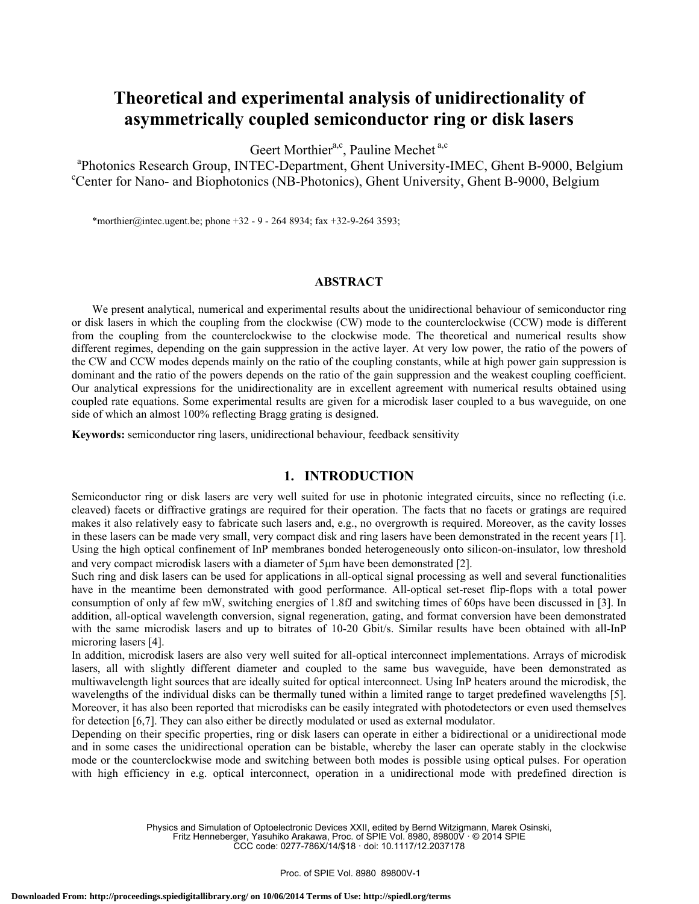# **Theoretical and experimental analysis of unidirectionality of asymmetrically coupled semiconductor ring or disk lasers**

Geert Morthier<sup>a,c</sup>, Pauline Mechet<sup>a,c</sup>

<sup>a</sup>Photonics Research Group, INTEC-Department, Ghent University-IMEC, Ghent B-9000, Belgium <sup>c</sup>Center for Nano- and Biophotonics (NB-Photonics), Ghent University, Ghent B-9000, Belgium

\*morthier@intec.ugent.be; phone +32 - 9 - 264 8934; fax +32-9-264 3593;

### **ABSTRACT**

We present analytical, numerical and experimental results about the unidirectional behaviour of semiconductor ring or disk lasers in which the coupling from the clockwise (CW) mode to the counterclockwise (CCW) mode is different from the coupling from the counterclockwise to the clockwise mode. The theoretical and numerical results show different regimes, depending on the gain suppression in the active layer. At very low power, the ratio of the powers of the CW and CCW modes depends mainly on the ratio of the coupling constants, while at high power gain suppression is dominant and the ratio of the powers depends on the ratio of the gain suppression and the weakest coupling coefficient. Our analytical expressions for the unidirectionality are in excellent agreement with numerical results obtained using coupled rate equations. Some experimental results are given for a microdisk laser coupled to a bus waveguide, on one side of which an almost 100% reflecting Bragg grating is designed.

**Keywords:** semiconductor ring lasers, unidirectional behaviour, feedback sensitivity

### **1. INTRODUCTION**

Semiconductor ring or disk lasers are very well suited for use in photonic integrated circuits, since no reflecting (i.e. cleaved) facets or diffractive gratings are required for their operation. The facts that no facets or gratings are required makes it also relatively easy to fabricate such lasers and, e.g., no overgrowth is required. Moreover, as the cavity losses in these lasers can be made very small, very compact disk and ring lasers have been demonstrated in the recent years [1]. Using the high optical confinement of InP membranes bonded heterogeneously onto silicon-on-insulator, low threshold and very compact microdisk lasers with a diameter of 5μm have been demonstrated [2].

Such ring and disk lasers can be used for applications in all-optical signal processing as well and several functionalities have in the meantime been demonstrated with good performance. All-optical set-reset flip-flops with a total power consumption of only af few mW, switching energies of 1.8fJ and switching times of 60ps have been discussed in [3]. In addition, all-optical wavelength conversion, signal regeneration, gating, and format conversion have been demonstrated with the same microdisk lasers and up to bitrates of 10-20 Gbit/s. Similar results have been obtained with all-InP microring lasers [4].

In addition, microdisk lasers are also very well suited for all-optical interconnect implementations. Arrays of microdisk lasers, all with slightly different diameter and coupled to the same bus waveguide, have been demonstrated as multiwavelength light sources that are ideally suited for optical interconnect. Using InP heaters around the microdisk, the wavelengths of the individual disks can be thermally tuned within a limited range to target predefined wavelengths [5]. Moreover, it has also been reported that microdisks can be easily integrated with photodetectors or even used themselves for detection [6,7]. They can also either be directly modulated or used as external modulator.

Depending on their specific properties, ring or disk lasers can operate in either a bidirectional or a unidirectional mode and in some cases the unidirectional operation can be bistable, whereby the laser can operate stably in the clockwise mode or the counterclockwise mode and switching between both modes is possible using optical pulses. For operation with high efficiency in e.g. optical interconnect, operation in a unidirectional mode with predefined direction is

> Physics and Simulation of Optoelectronic Devices XXII, edited by Bernd Witzigmann, Marek Osinski, Fritz Henneberger, Yasuhiko Arakawa, Proc. of SPIE Vol. 8980, 89800V · © 2014 SPIE

CCC code: 0277-786X/14/\$18 · doi: 10.1117/12.2037178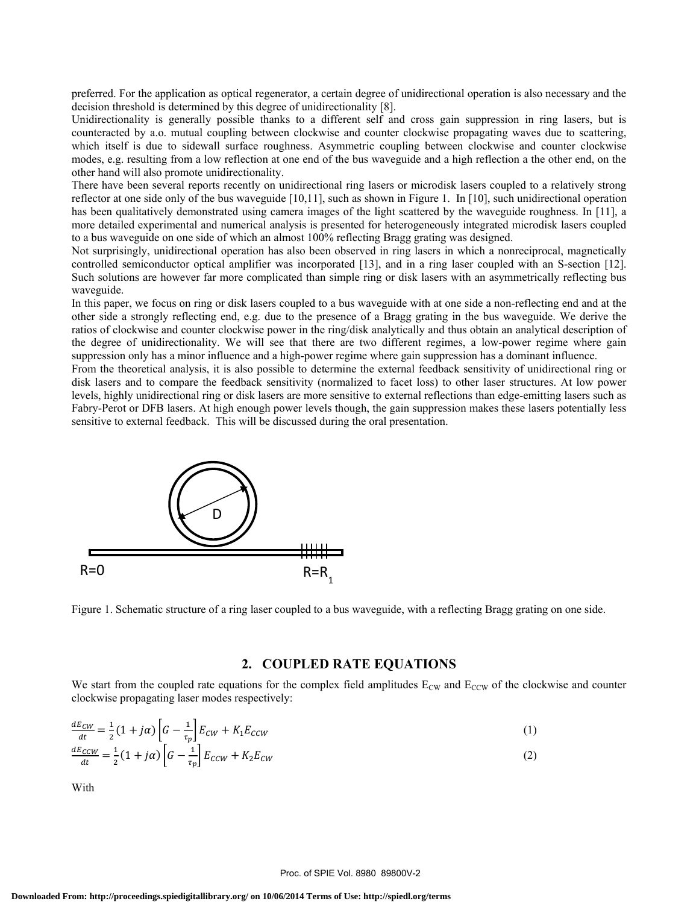preferred. For the application as optical regenerator, a certain degree of unidirectional operation is also necessary and the decision threshold is determined by this degree of unidirectionality [8].

Unidirectionality is generally possible thanks to a different self and cross gain suppression in ring lasers, but is counteracted by a.o. mutual coupling between clockwise and counter clockwise propagating waves due to scattering, which itself is due to sidewall surface roughness. Asymmetric coupling between clockwise and counter clockwise modes, e.g. resulting from a low reflection at one end of the bus waveguide and a high reflection a the other end, on the other hand will also promote unidirectionality.

There have been several reports recently on unidirectional ring lasers or microdisk lasers coupled to a relatively strong reflector at one side only of the bus waveguide [10,11], such as shown in Figure 1. In [10], such unidirectional operation has been qualitatively demonstrated using camera images of the light scattered by the waveguide roughness. In [11], a more detailed experimental and numerical analysis is presented for heterogeneously integrated microdisk lasers coupled to a bus waveguide on one side of which an almost 100% reflecting Bragg grating was designed.

Not surprisingly, unidirectional operation has also been observed in ring lasers in which a nonreciprocal, magnetically controlled semiconductor optical amplifier was incorporated [13], and in a ring laser coupled with an S-section [12]. Such solutions are however far more complicated than simple ring or disk lasers with an asymmetrically reflecting bus waveguide.

In this paper, we focus on ring or disk lasers coupled to a bus waveguide with at one side a non-reflecting end and at the other side a strongly reflecting end, e.g. due to the presence of a Bragg grating in the bus waveguide. We derive the ratios of clockwise and counter clockwise power in the ring/disk analytically and thus obtain an analytical description of the degree of unidirectionality. We will see that there are two different regimes, a low-power regime where gain suppression only has a minor influence and a high-power regime where gain suppression has a dominant influence.

From the theoretical analysis, it is also possible to determine the external feedback sensitivity of unidirectional ring or disk lasers and to compare the feedback sensitivity (normalized to facet loss) to other laser structures. At low power levels, highly unidirectional ring or disk lasers are more sensitive to external reflections than edge-emitting lasers such as Fabry-Perot or DFB lasers. At high enough power levels though, the gain suppression makes these lasers potentially less sensitive to external feedback. This will be discussed during the oral presentation.



Figure 1. Schematic structure of a ring laser coupled to a bus waveguide, with a reflecting Bragg grating on one side.

### **2. COUPLED RATE EQUATIONS**

We start from the coupled rate equations for the complex field amplitudes  $E_{CW}$  and  $E_{CCW}$  of the clockwise and counter clockwise propagating laser modes respectively:

$$
\frac{dE_{CW}}{dt} = \frac{1}{2}(1 + j\alpha)\left[G - \frac{1}{\tau_p}\right]E_{CW} + K_1 E_{CCW}
$$
\n<sup>(1)</sup>

$$
\frac{dE_{CCW}}{dt} = \frac{1}{2}(1+j\alpha)\left[G - \frac{1}{\tau_p}\right]E_{CCW} + K_2E_{CW}
$$
\n(2)

With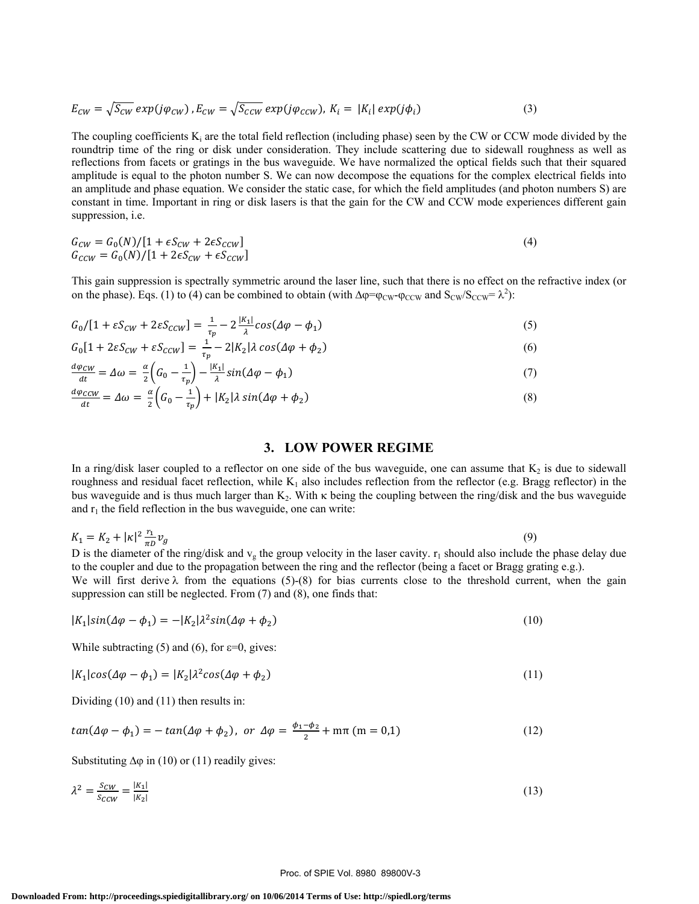$$
E_{CW} = \sqrt{S_{CW}} \exp(j\varphi_{CW}), E_{CW} = \sqrt{S_{CCW}} \exp(j\varphi_{CCW}), K_i = |K_i| \exp(j\varphi_i)
$$
 (3)

The coupling coefficients  $K_i$  are the total field reflection (including phase) seen by the CW or CCW mode divided by the roundtrip time of the ring or disk under consideration. They include scattering due to sidewall roughness as well as reflections from facets or gratings in the bus waveguide. We have normalized the optical fields such that their squared amplitude is equal to the photon number S. We can now decompose the equations for the complex electrical fields into an amplitude and phase equation. We consider the static case, for which the field amplitudes (and photon numbers S) are constant in time. Important in ring or disk lasers is that the gain for the CW and CCW mode experiences different gain suppression, i.e.

$$
G_{CW} = G_0(N)/[1 + \epsilon S_{CW} + 2\epsilon S_{CCW}]
$$
  
\n
$$
G_{CCW} = G_0(N)/[1 + 2\epsilon S_{CW} + \epsilon S_{CCW}]
$$
\n(4)

This gain suppression is spectrally symmetric around the laser line, such that there is no effect on the refractive index (or on the phase). Eqs. (1) to (4) can be combined to obtain (with  $\Delta \varphi = \varphi_{CW} - \varphi_{CCW}$  and  $S_{CW}/S_{CCW} = \lambda^2$ ):

$$
G_0/[1 + \varepsilon S_{CW} + 2\varepsilon S_{CCW}] = \frac{1}{\tau_p} - 2\frac{|K_1|}{\lambda}\cos(\Delta\varphi - \phi_1)
$$
\n<sup>(5)</sup>

$$
G_0[1 + 2\varepsilon S_{CW} + \varepsilon S_{CCW}] = \frac{1}{\tau_p} - 2|K_2|\lambda \cos(\Delta \varphi + \varphi_2)
$$
\n<sup>(6)</sup>

$$
\frac{d\varphi_{CW}}{dt} = \Delta\omega = \frac{\alpha}{2} \left( G_0 - \frac{1}{\tau_p} \right) - \frac{|K_1|}{\lambda} sin(\Delta\varphi - \varphi_1)
$$
\n(7)

$$
\frac{d\varphi_{CCW}}{dt} = \Delta\omega = \frac{\alpha}{2} \left( G_0 - \frac{1}{\tau_p} \right) + |K_2|\lambda \sin(\Delta\varphi + \varphi_2)
$$
\n(8)

### **3. LOW POWER REGIME**

In a ring/disk laser coupled to a reflector on one side of the bus waveguide, one can assume that  $K_2$  is due to sidewall roughness and residual facet reflection, while  $K_1$  also includes reflection from the reflector (e.g. Bragg reflector) in the bus waveguide and is thus much larger than  $K_2$ . With  $\kappa$  being the coupling between the ring/disk and the bus waveguide and  $r_1$  the field reflection in the bus waveguide, one can write:

$$
K_1 = K_2 + |\kappa|^2 \frac{r_1}{\pi D} v_g \tag{9}
$$

D is the diameter of the ring/disk and  $v_g$  the group velocity in the laser cavity.  $r_1$  should also include the phase delay due to the coupler and due to the propagation between the ring and the reflector (being a facet or Bragg grating e.g.). We will first derive  $\lambda$  from the equations (5)-(8) for bias currents close to the threshold current, when the gain suppression can still be neglected. From (7) and (8), one finds that:

$$
|K_1|sin(\Delta\varphi - \phi_1) = -|K_2|\lambda^2 sin(\Delta\varphi + \phi_2)
$$
\n(10)

While subtracting (5) and (6), for  $\varepsilon=0$ , gives:

$$
|K_1|cos(\Delta \varphi - \varphi_1) = |K_2|\lambda^2 cos(\Delta \varphi + \varphi_2)
$$
\n(11)

Dividing (10) and (11) then results in:

$$
tan(\Delta \varphi - \varphi_1) = -tan(\Delta \varphi + \varphi_2), \text{ or } \Delta \varphi = \frac{\varphi_1 - \varphi_2}{2} + m\pi \text{ (m = 0,1)}
$$
\n(12)

Substituting  $\Delta\varphi$  in (10) or (11) readily gives:

$$
\lambda^2 = \frac{s_{CW}}{s_{CCW}} = \frac{|K_1|}{|K_2|} \tag{13}
$$

#### Proc. of SPIE Vol. 8980 89800V-3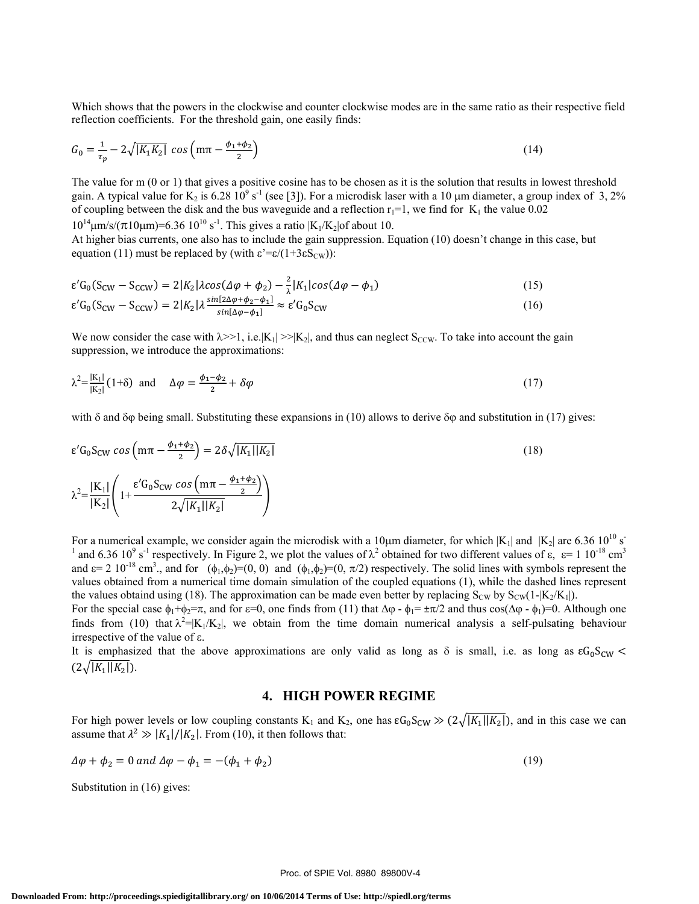Which shows that the powers in the clockwise and counter clockwise modes are in the same ratio as their respective field reflection coefficients. For the threshold gain, one easily finds:

$$
G_0 = \frac{1}{\tau_p} - 2\sqrt{|K_1K_2|} \cos\left(m\pi - \frac{\phi_1 + \phi_2}{2}\right)
$$
 (14)

The value for m (0 or 1) that gives a positive cosine has to be chosen as it is the solution that results in lowest threshold gain. A typical value for  $K_2$  is 6.28 10<sup>9</sup> s<sup>-1</sup> (see [3]). For a microdisk laser with a 10  $\mu$ m diameter, a group index of 3, 2% of coupling between the disk and the bus waveguide and a reflection  $r_1=1$ , we find for  $K_1$  the value 0.02  $10^{14}$ μm/s/( $\pi$ 10μm)=6.36  $10^{10}$  s<sup>-1</sup>. This gives a ratio  $\frac{K_1}{K_2}$  of about 10.

At higher bias currents, one also has to include the gain suppression. Equation (10) doesn't change in this case, but equation (11) must be replaced by (with  $\varepsilon' = \varepsilon/(1+3\varepsilon S_{\text{CW}})$ ):

$$
\varepsilon' G_0 (S_{CW} - S_{CCW}) = 2|K_2|\lambda \cos(\Delta \varphi + \phi_2) - \frac{2}{\lambda}|K_1|\cos(\Delta \varphi - \phi_1)
$$
  
\n
$$
\varepsilon' G_0 (S_{CW} - S_{CCW}) = 2|K_2|\lambda \frac{\sin[2\Delta \varphi + \phi_2 - \phi_1]}{\sin[\Delta \varphi - \phi_1]} \approx \varepsilon' G_0 S_{CW}
$$
\n(16)

We now consider the case with  $\lambda > 1$ , i.e. $|K_1| > |K_2|$ , and thus can neglect S<sub>CCW</sub>. To take into account the gain suppression, we introduce the approximations:

$$
\lambda^2 = \frac{|K_1|}{|K_2|} (1+\delta) \quad \text{and} \quad \Delta \varphi = \frac{\phi_1 - \phi_2}{2} + \delta \varphi \tag{17}
$$

with δ and δφ being small. Substituting these expansions in (10) allows to derive δφ and substitution in (17) gives:

$$
\varepsilon' G_0 S_{CW} \cos \left( m \pi - \frac{\phi_1 + \phi_2}{2} \right) = 2 \delta \sqrt{|K_1||K_2|}
$$
\n
$$
\lambda^2 = \frac{|K_1|}{|K_2|} \left( 1 + \frac{\varepsilon' G_0 S_{CW} \cos \left( m \pi - \frac{\phi_1 + \phi_2}{2} \right)}{2 \sqrt{|K_1||K_2|}} \right)
$$
\n(18)

For a numerical example, we consider again the microdisk with a 10<sup>u</sup>m diameter, for which  $|K_1|$  and  $|K_2|$  are 6.36 10<sup>10</sup> s<sup>-1</sup> and 6.36 10<sup>2</sup> s<sup>-1</sup> remeatively. In Figure 2, we plot the values of  $3^2$  obtained for and 6.36 10<sup>9</sup> s<sup>-1</sup> respectively. In Figure 2, we plot the values of  $\lambda^2$  obtained for two different values of  $\varepsilon$ ,  $\varepsilon = 1.10^{-18}$  cm<sup>3</sup> and  $\varepsilon$  = 2 10<sup>-18</sup> cm<sup>3</sup>., and for  $(\phi_1, \phi_2)$ =(0, 0) and  $(\phi_1, \phi_2)$ =(0,  $\pi/2$ ) respectively. The solid lines with symbols represent the values obtained from a numerical time domain simulation of the coupled equations (1), while the dashed lines represent the values obtaind using (18). The approximation can be made even better by replacing  $S_{CW}$  by  $S_{CW}(1-|K_2/K_1|)$ .

For the special case  $\phi_1 + \phi_2 = \pi$ , and for  $\varepsilon = 0$ , one finds from (11) that  $\Delta \phi - \phi_1 = \pm \pi/2$  and thus cos( $\Delta \phi - \phi_1$ )=0. Although one finds from (10) that  $\lambda^2 = |K_1/K_2|$ , we obtain from the time domain numerical analysis a self-pulsating behaviour irrespective of the value of ε.

It is emphasized that the above approximations are only valid as long as  $\delta$  is small, i.e. as long as  $\epsilon G_0 S_{CW}$  $(2\sqrt{|K_1||K_2|}).$ 

## **4. HIGH POWER REGIME**

For high power levels or low coupling constants K<sub>1</sub> and K<sub>2</sub>, one has  $\varepsilon G_0 S_{CW} \gg (2\sqrt{|K_1||K_2|})$ , and in this case we can assume that  $\lambda^2 \gg |K_1|/|K_2|$ . From (10), it then follows that:

$$
\Delta \varphi + \phi_2 = 0 \text{ and } \Delta \varphi - \phi_1 = -(\phi_1 + \phi_2) \tag{19}
$$

Substitution in (16) gives: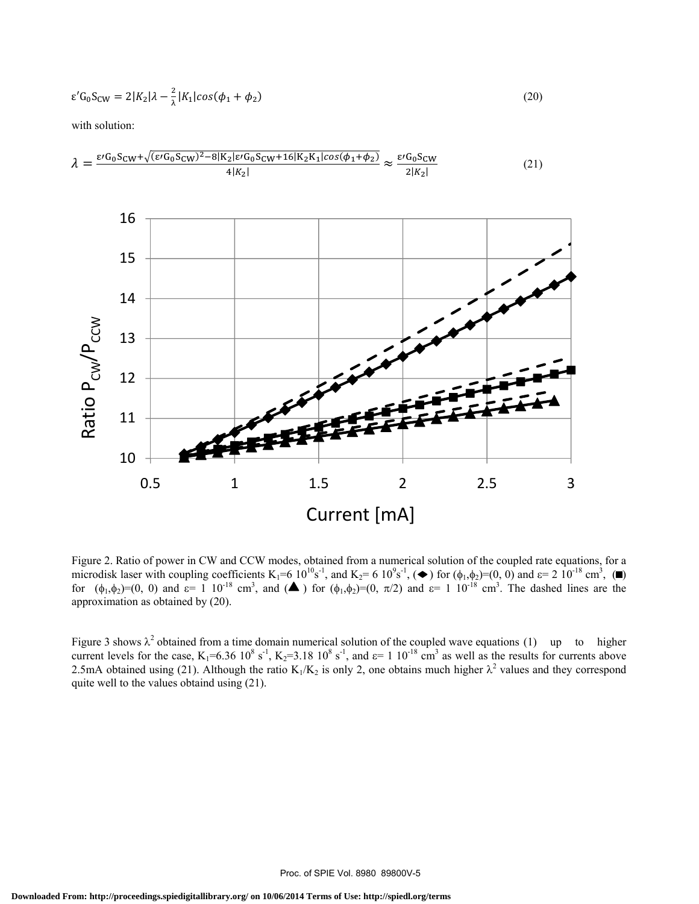$$
\varepsilon' G_0 S_{CW} = 2|K_2|\lambda - \frac{2}{\lambda}|K_1|\cos(\phi_1 + \phi_2)
$$
\n(20)

with solution:



Figure 2. Ratio of power in CW and CCW modes, obtained from a numerical solution of the coupled rate equations, for a microdisk laser with coupling coefficients  $K_1=6 10^{10} s^{-1}$ , and  $K_2=6 10^9 s^{-1}$ ,  $(\bullet)$  for  $(\phi_1, \phi_2)=(0, 0)$  and  $\epsilon=2 10^{-18}$  cm<sup>3</sup>,  $(\bullet)$ for  $(\phi_1, \phi_2) = (0, 0)$  and  $\varepsilon = 1 \cdot 10^{-18}$  cm<sup>3</sup>, and  $(A)$  for  $(\phi_1, \phi_2) = (0, \pi/2)$  and  $\varepsilon = 1 \cdot 10^{-18}$  cm<sup>3</sup>. The dashed lines are the approximation as obtained by (20).

Figure 3 shows  $\lambda^2$  obtained from a time domain numerical solution of the coupled wave equations (1) up to higher current levels for the case,  $K_1=6.36 \cdot 10^8 \text{ s}^{-1}$ ,  $K_2=3.18 \cdot 10^8 \text{ s}^{-1}$ , and  $\varepsilon=1 \cdot 10^{-18} \text{ cm}^3$  as well as the results for currents above 2.5mA obtained using (21). Although the ratio  $K_1/K_2$  is only 2, one obtains much higher  $\lambda^2$  values and they correspond quite well to the values obtaind using (21).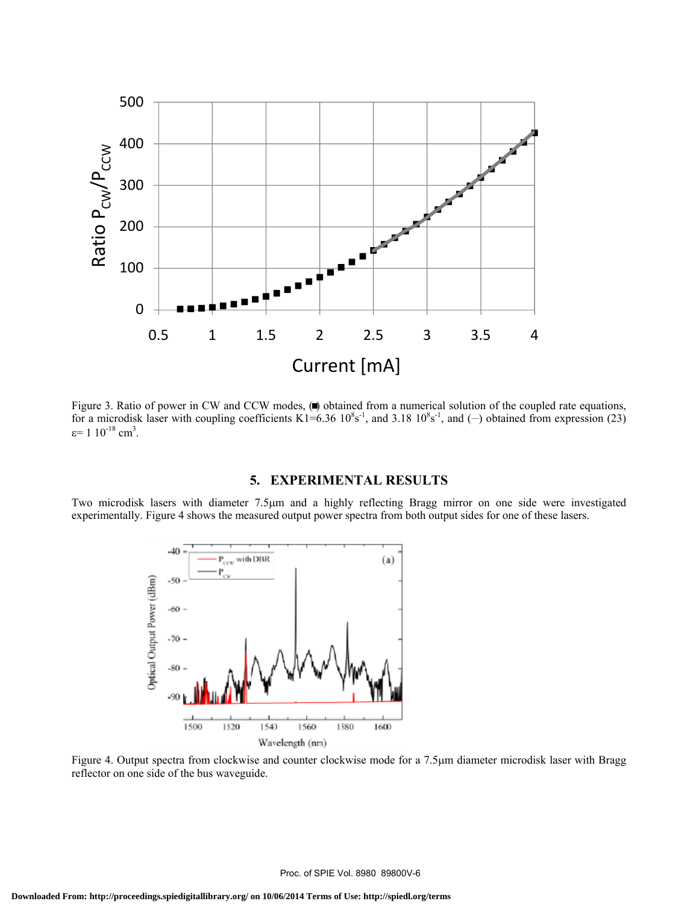

Figure 3. Ratio of power in CW and CCW modes, ( $\bullet$ ) obtained from a numerical solution of the coupled rate equations, for a microdisk laser with coupling coefficients  $K1=6.36 \times 10^8$ s<sup>-1</sup>, and 3.18  $10^8$ s<sup>-1</sup>, and (-) obtained from expression (23)  $\varepsilon$ = 1 10<sup>-18</sup> cm<sup>3</sup>.

### **5. EXPERIMENTAL RESULTS**

Two microdisk lasers with diameter 7.5μm and a highly reflecting Bragg mirror on one side were investigated experimentally. Figure 4 shows the measured output power spectra from both output sides for one of these lasers.



Figure 4. Output spectra from clockwise and counter clockwise mode for a 7.5μm diameter microdisk laser with Bragg reflector on one side of the bus waveguide.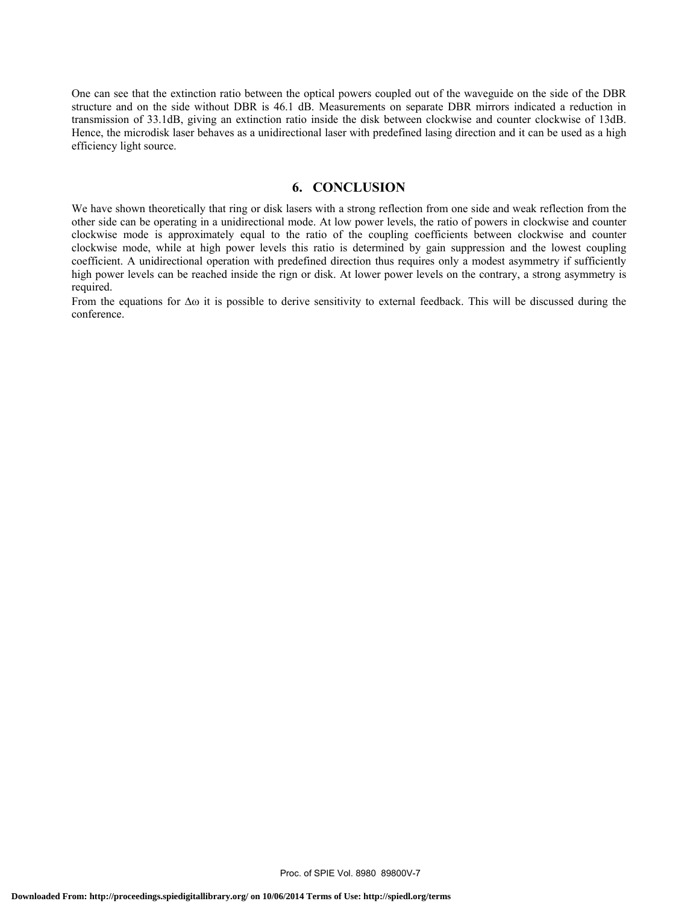One can see that the extinction ratio between the optical powers coupled out of the waveguide on the side of the DBR structure and on the side without DBR is 46.1 dB. Measurements on separate DBR mirrors indicated a reduction in transmission of 33.1dB, giving an extinction ratio inside the disk between clockwise and counter clockwise of 13dB. Hence, the microdisk laser behaves as a unidirectional laser with predefined lasing direction and it can be used as a high efficiency light source.

### **6. CONCLUSION**

We have shown theoretically that ring or disk lasers with a strong reflection from one side and weak reflection from the other side can be operating in a unidirectional mode. At low power levels, the ratio of powers in clockwise and counter clockwise mode is approximately equal to the ratio of the coupling coefficients between clockwise and counter clockwise mode, while at high power levels this ratio is determined by gain suppression and the lowest coupling coefficient. A unidirectional operation with predefined direction thus requires only a modest asymmetry if sufficiently high power levels can be reached inside the rign or disk. At lower power levels on the contrary, a strong asymmetry is required.

From the equations for  $\Delta\omega$  it is possible to derive sensitivity to external feedback. This will be discussed during the conference.